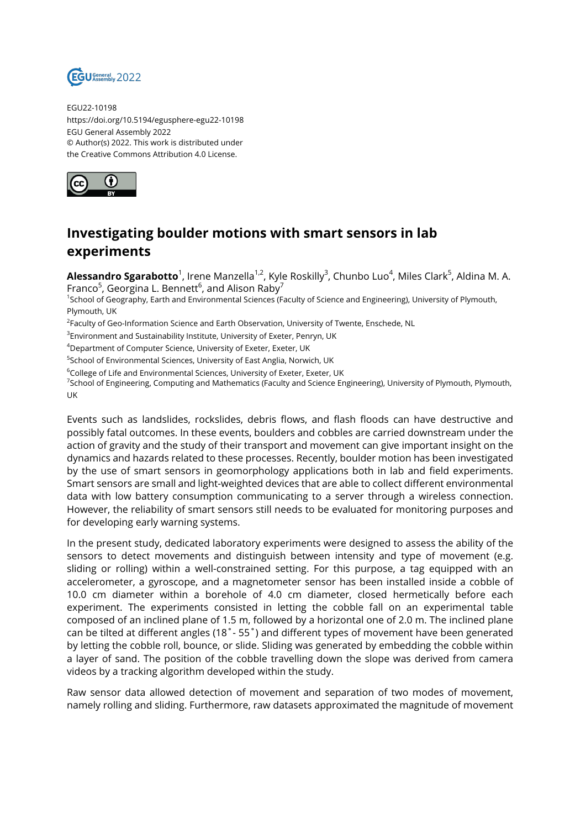

EGU22-10198 https://doi.org/10.5194/egusphere-egu22-10198 EGU General Assembly 2022 © Author(s) 2022. This work is distributed under the Creative Commons Attribution 4.0 License.



## **Investigating boulder motions with smart sensors in lab experiments**

**Alessandro Sgarabotto**<sup>1</sup>, Irene Manzella<sup>1,2</sup>, Kyle Roskilly<sup>3</sup>, Chunbo Luo<sup>4</sup>, Miles Clark<sup>5</sup>, Aldina M. A. Franco $^5$ , Georgina L. Bennett $^6$ , and Alison Raby $^7$ 

1 School of Geography, Earth and Environmental Sciences (Faculty of Science and Engineering), University of Plymouth, Plymouth, UK

<sup>2</sup>Faculty of Geo-Information Science and Earth Observation, University of Twente, Enschede, NL

 $^3$ Environment and Sustainability Institute, University of Exeter, Penryn, UK

<sup>4</sup>Department of Computer Science, University of Exeter, Exeter, UK

<sup>5</sup>School of Environmental Sciences, University of East Anglia, Norwich, UK

<sup>6</sup>College of Life and Environmental Sciences, University of Exeter, Exeter, UK

<sup>7</sup>School of Engineering, Computing and Mathematics (Faculty and Science Engineering), University of Plymouth, Plymouth, UK

Events such as landslides, rockslides, debris flows, and flash floods can have destructive and possibly fatal outcomes. In these events, boulders and cobbles are carried downstream under the action of gravity and the study of their transport and movement can give important insight on the dynamics and hazards related to these processes. Recently, boulder motion has been investigated by the use of smart sensors in geomorphology applications both in lab and field experiments. Smart sensors are small and light-weighted devices that are able to collect different environmental data with low battery consumption communicating to a server through a wireless connection. However, the reliability of smart sensors still needs to be evaluated for monitoring purposes and for developing early warning systems.

In the present study, dedicated laboratory experiments were designed to assess the ability of the sensors to detect movements and distinguish between intensity and type of movement (e.g. sliding or rolling) within a well-constrained setting. For this purpose, a tag equipped with an accelerometer, a gyroscope, and a magnetometer sensor has been installed inside a cobble of 10.0 cm diameter within a borehole of 4.0 cm diameter, closed hermetically before each experiment. The experiments consisted in letting the cobble fall on an experimental table composed of an inclined plane of 1.5 m, followed by a horizontal one of 2.0 m. The inclined plane can be tilted at different angles (18˚- 55˚) and different types of movement have been generated by letting the cobble roll, bounce, or slide. Sliding was generated by embedding the cobble within a layer of sand. The position of the cobble travelling down the slope was derived from camera videos by a tracking algorithm developed within the study.

Raw sensor data allowed detection of movement and separation of two modes of movement, namely rolling and sliding. Furthermore, raw datasets approximated the magnitude of movement